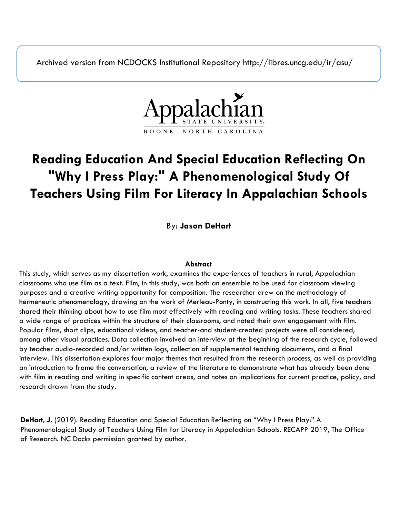Archived version from NCDOCKS Institutional Repository http://libres.uncg.edu/ir/asu/



### **Reading Education And Special Education Reflecting On "Why I Press Play:" A Phenomenological Study Of Teachers Using Film For Literacy In Appalachian Schools**

By: **Jason DeHart**

### **Abstract**

This study, which serves as my dissertation work, examines the experiences of teachers in rural, Appalachian classrooms who use film as a text. Film, in this study, was both an ensemble to be used for classroom viewing purposes and a creative writing opportunity for composition. The researcher drew on the methodology of hermeneutic phenomenology, drawing on the work of Merleau-Ponty, in constructing this work. In all, five teachers shared their thinking about how to use film most effectively with reading and writing tasks. These teachers shared a wide range of practices within the structure of their classrooms, and noted their own engagement with film. Popular films, short clips, educational videos, and teacher-and student-created projects were all considered, among other visual practices. Data collection involved an interview at the beginning of the research cycle, followed by teacher audio-recorded and/or written logs, collection of supplemental teaching documents, and a final interview. This dissertation explores four major themes that resulted from the research process, as well as providing an introduction to frame the conversation, a review of the literature to demonstrate what has already been done with film in reading and writing in specific content areas, and notes on implications for current practice, policy, and research drawn from the study.

**DeHart, J.** (2019). Reading Education and Special Education Reflecting on "Why I Press Play:" A Phenomenological Study of Teachers Using Film for Literacy in Appalachian Schools. RECAPP 2019, The Office of Research. NC Docks permission granted by author.